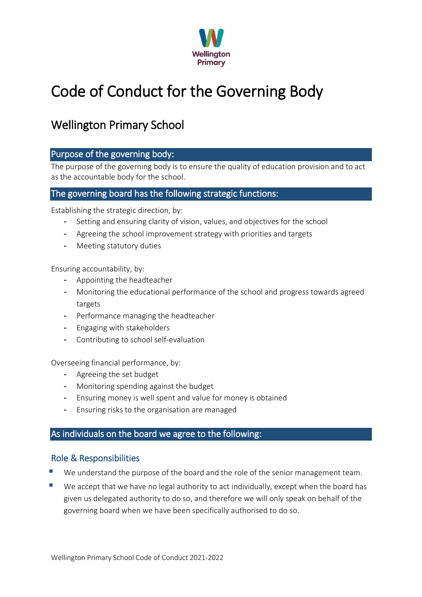

# Code of Conduct for the Governing Body

# Wellington Primary School

## Purpose of the governing body:

The purpose of the governing body is to ensure the quality of education provision and to act as the accountable body for the school.

# The governing board has the following strategic functions:

Establishing the strategic direction, by:

- Setting and ensuring clarity of vision, values, and objectives for the school
- Agreeing the school improvement strategy with priorities and targets
- Meeting statutory duties

Ensuring accountability, by:

- Appointing the headteacher
- Monitoring the educational performance of the school and progress towards agreed targets
- Performance managing the headteacher
- Engaging with stakeholders
- Contributing to school self-evaluation

Overseeing financial performance, by:

- Agreeing the set budget
- Monitoring spending against the budget
- Ensuring money is well spent and value for money is obtained
- Ensuring risks to the organisation are managed

## As individuals on the board we agree to the following:

## Role & Responsibilities

- We understand the purpose of the board and the role of the senior management team.
- We accept that we have no legal authority to act individually, except when the board has given us delegated authority to do so, and therefore we will only speak on behalf of the governing board when we have been specifically authorised to do so.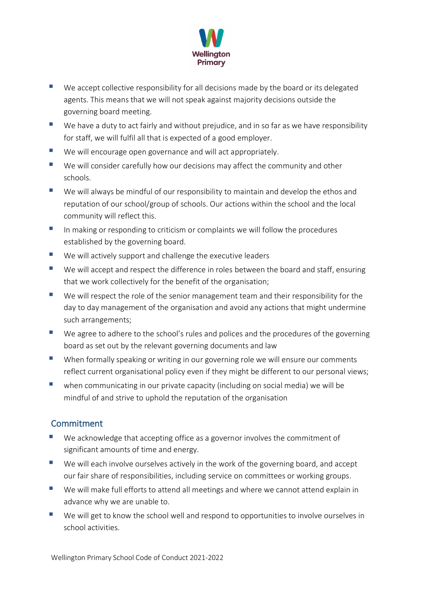

- We accept collective responsibility for all decisions made by the board or its delegated agents. This means that we will not speak against majority decisions outside the governing board meeting.
- We have a duty to act fairly and without prejudice, and in so far as we have responsibility for staff, we will fulfil all that is expected of a good employer.
- We will encourage open governance and will act appropriately.
- We will consider carefully how our decisions may affect the community and other schools.
- We will always be mindful of our responsibility to maintain and develop the ethos and reputation of our school/group of schools. Our actions within the school and the local community will reflect this.
- In making or responding to criticism or complaints we will follow the procedures established by the governing board.
- We will actively support and challenge the executive leaders
- We will accept and respect the difference in roles between the board and staff, ensuring that we work collectively for the benefit of the organisation;
- We will respect the role of the senior management team and their responsibility for the day to day management of the organisation and avoid any actions that might undermine such arrangements;
- We agree to adhere to the school's rules and polices and the procedures of the governing board as set out by the relevant governing documents and law
- **Notai** When formally speaking or writing in our governing role we will ensure our comments reflect current organisational policy even if they might be different to our personal views;
- $\blacksquare$  when communicating in our private capacity (including on social media) we will be mindful of and strive to uphold the reputation of the organisation

# Commitment

- We acknowledge that accepting office as a governor involves the commitment of significant amounts of time and energy.
- We will each involve ourselves actively in the work of the governing board, and accept our fair share of responsibilities, including service on committees or working groups.
- We will make full efforts to attend all meetings and where we cannot attend explain in advance why we are unable to.
- We will get to know the school well and respond to opportunities to involve ourselves in school activities.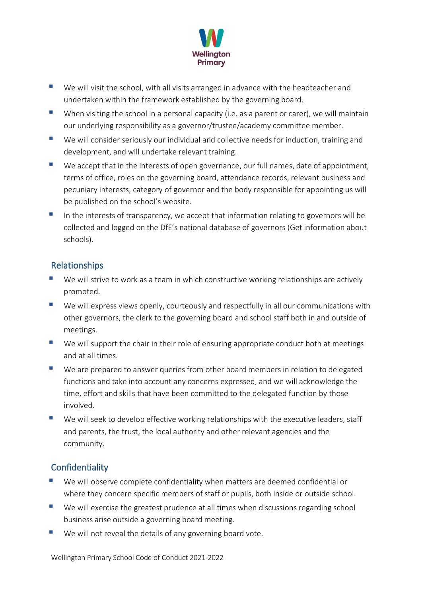

- We will visit the school, with all visits arranged in advance with the headteacher and undertaken within the framework established by the governing board.
- When visiting the school in a personal capacity (i.e. as a parent or carer), we will maintain our underlying responsibility as a governor/trustee/academy committee member.
- We will consider seriously our individual and collective needs for induction, training and development, and will undertake relevant training.
- We accept that in the interests of open governance, our full names, date of appointment, terms of office, roles on the governing board, attendance records, relevant business and pecuniary interests, category of governor and the body responsible for appointing us will be published on the school's website.
- In the interests of transparency, we accept that information relating to governors will be collected and logged on the DfE's national database of governors (Get information about schools).

# Relationships

- We will strive to work as a team in which constructive working relationships are actively promoted.
- We will express views openly, courteously and respectfully in all our communications with other governors, the clerk to the governing board and school staff both in and outside of meetings.
- We will support the chair in their role of ensuring appropriate conduct both at meetings and at all times.
- We are prepared to answer queries from other board members in relation to delegated functions and take into account any concerns expressed, and we will acknowledge the time, effort and skills that have been committed to the delegated function by those involved.
- We will seek to develop effective working relationships with the executive leaders, staff and parents, the trust, the local authority and other relevant agencies and the community.

# **Confidentiality**

- We will observe complete confidentiality when matters are deemed confidential or where they concern specific members of staff or pupils, both inside or outside school.
- We will exercise the greatest prudence at all times when discussions regarding school business arise outside a governing board meeting.
- We will not reveal the details of any governing board vote.

Wellington Primary School Code of Conduct 2021-2022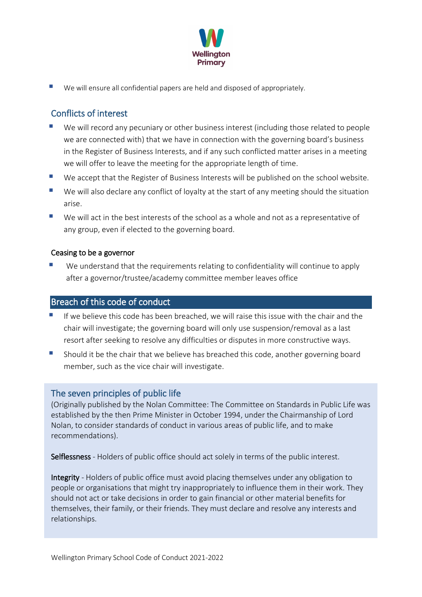

We will ensure all confidential papers are held and disposed of appropriately.

# Conflicts of interest

- We will record any pecuniary or other business interest (including those related to people we are connected with) that we have in connection with the governing board's business in the Register of Business Interests, and if any such conflicted matter arises in a meeting we will offer to leave the meeting for the appropriate length of time.
- We accept that the Register of Business Interests will be published on the school website.
- We will also declare any conflict of loyalty at the start of any meeting should the situation arise.
- We will act in the best interests of the school as a whole and not as a representative of any group, even if elected to the governing board.

#### Ceasing to be a governor

 We understand that the requirements relating to confidentiality will continue to apply after a governor/trustee/academy committee member leaves office

#### Breach of this code of conduct

- If we believe this code has been breached, we will raise this issue with the chair and the chair will investigate; the governing board will only use suspension/removal as a last resort after seeking to resolve any difficulties or disputes in more constructive ways.
- Should it be the chair that we believe has breached this code, another governing board member, such as the vice chair will investigate.

## The seven principles of public life

(Originally published by the Nolan Committee: The Committee on Standards in Public Life was established by the then Prime Minister in October 1994, under the Chairmanship of Lord Nolan, to consider standards of conduct in various areas of public life, and to make recommendations).

Selflessness - Holders of public office should act solely in terms of the public interest.

Integrity - Holders of public office must avoid placing themselves under any obligation to people or organisations that might try inappropriately to influence them in their work. They should not act or take decisions in order to gain financial or other material benefits for themselves, their family, or their friends. They must declare and resolve any interests and relationships.